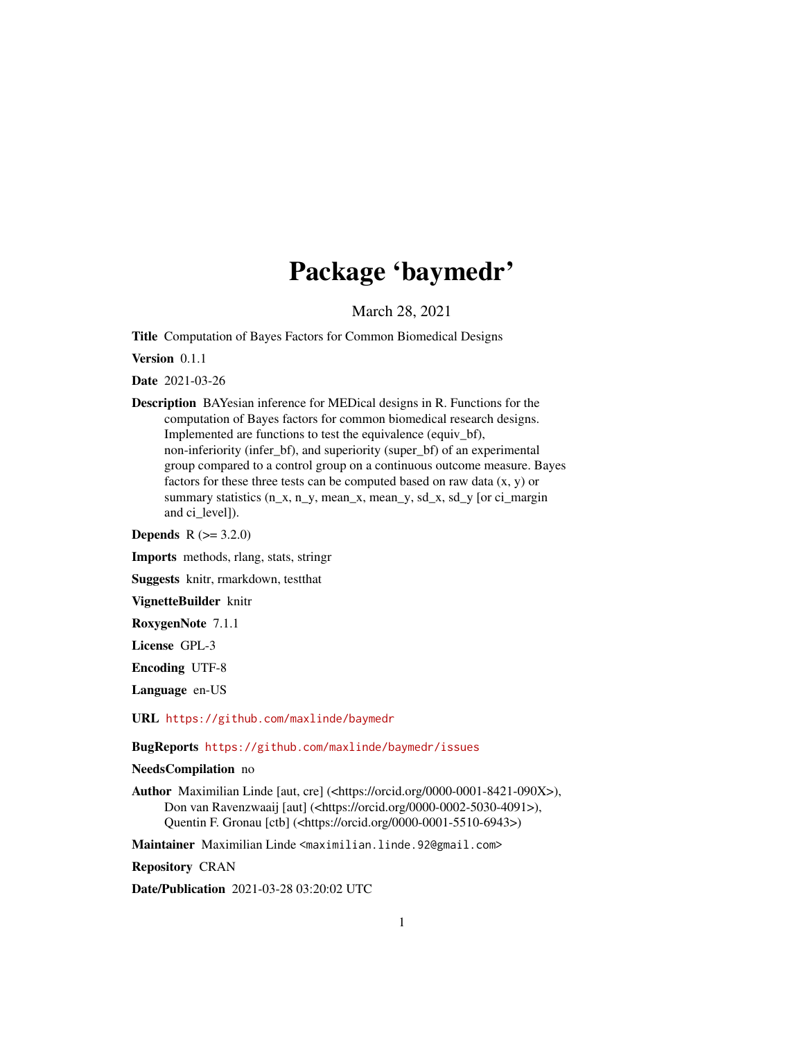## Package 'baymedr'

March 28, 2021

Title Computation of Bayes Factors for Common Biomedical Designs

Version 0.1.1

Date 2021-03-26

Description BAYesian inference for MEDical designs in R. Functions for the computation of Bayes factors for common biomedical research designs. Implemented are functions to test the equivalence (equiv\_bf), non-inferiority (infer\_bf), and superiority (super\_bf) of an experimental group compared to a control group on a continuous outcome measure. Bayes factors for these three tests can be computed based on raw data  $(x, y)$  or summary statistics (n\_x, n\_y, mean\_x, mean\_y, sd\_x, sd\_y [or ci\_margin and ci\_level]).

**Depends** R  $(>= 3.2.0)$ 

Imports methods, rlang, stats, stringr

Suggests knitr, rmarkdown, testthat

VignetteBuilder knitr

RoxygenNote 7.1.1

License GPL-3

Encoding UTF-8

Language en-US

URL <https://github.com/maxlinde/baymedr>

BugReports <https://github.com/maxlinde/baymedr/issues>

NeedsCompilation no

Author Maximilian Linde [aut, cre] (<https://orcid.org/0000-0001-8421-090X>), Don van Ravenzwaaij [aut] (<https://orcid.org/0000-0002-5030-4091>), Quentin F. Gronau [ctb] (<https://orcid.org/0000-0001-5510-6943>)

Maintainer Maximilian Linde <maximilian.linde.92@gmail.com>

Repository CRAN

Date/Publication 2021-03-28 03:20:02 UTC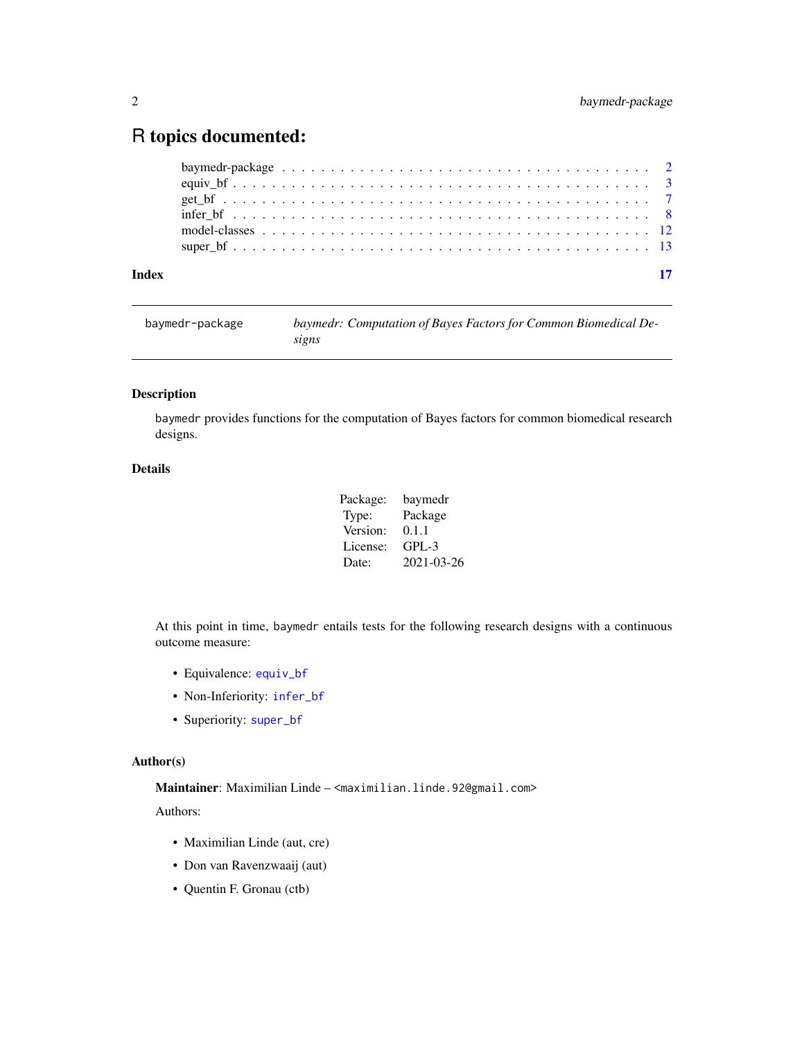### <span id="page-1-0"></span>R topics documented:

|       | baymedr-package $\ldots \ldots \ldots \ldots \ldots \ldots \ldots \ldots \ldots \ldots \ldots \ldots \ldots$ |
|-------|--------------------------------------------------------------------------------------------------------------|
|       |                                                                                                              |
|       |                                                                                                              |
|       |                                                                                                              |
|       |                                                                                                              |
|       |                                                                                                              |
|       |                                                                                                              |
| Index |                                                                                                              |

| baymedr-package | baymedr: Computation of Bayes Factors for Common Biomedical De- |
|-----------------|-----------------------------------------------------------------|
|                 | signs                                                           |

#### Description

baymedr provides functions for the computation of Bayes factors for common biomedical research designs.

#### Details

| Package: | baymedr    |
|----------|------------|
| Type:    | Package    |
| Version: | 0.1.1      |
| License: | GPL-3      |
| Date:    | 2021-03-26 |

At this point in time, baymedr entails tests for the following research designs with a continuous outcome measure:

- Equivalence: [equiv\\_bf](#page-2-1)
- Non-Inferiority: [infer\\_bf](#page-7-1)
- Superiority: [super\\_bf](#page-12-1)

#### Author(s)

Maintainer: Maximilian Linde – <maximilian.linde.92@gmail.com>

Authors:

- Maximilian Linde (aut, cre)
- Don van Ravenzwaaij (aut)
- Quentin F. Gronau (ctb)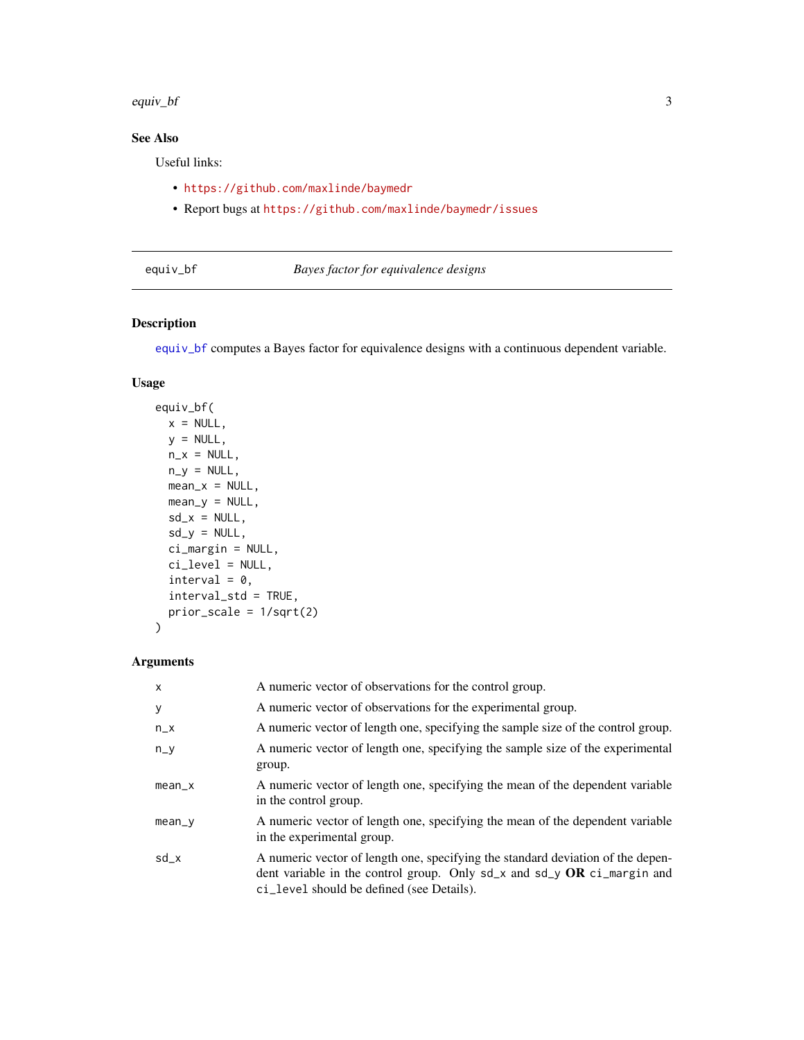<span id="page-2-0"></span>equiv\_bf 3

#### See Also

Useful links:

- <https://github.com/maxlinde/baymedr>
- Report bugs at <https://github.com/maxlinde/baymedr/issues>

#### <span id="page-2-1"></span>equiv\_bf *Bayes factor for equivalence designs*

#### Description

[equiv\\_bf](#page-2-1) computes a Bayes factor for equivalence designs with a continuous dependent variable.

#### Usage

```
equiv_bf(
 x = NULL,y = NULL,n_x = NULL,
 n_y = NULL,
 mean_x = NULL,mean_y = NULL,sd_x = NULL,sd_y = NULL,ci_margin = NULL,
 ci_level = NULL,
  interval = 0,
  interval_std = TRUE,
 prior_scale = 1/sqrt(2)
\mathcal{E}
```
#### Arguments

| $\mathsf{x}$ | A numeric vector of observations for the control group.                                                                                                                                                      |
|--------------|--------------------------------------------------------------------------------------------------------------------------------------------------------------------------------------------------------------|
| У            | A numeric vector of observations for the experimental group.                                                                                                                                                 |
| $n_x$        | A numeric vector of length one, specifying the sample size of the control group.                                                                                                                             |
| $n_y$        | A numeric vector of length one, specifying the sample size of the experimental<br>group.                                                                                                                     |
| $mean_x$     | A numeric vector of length one, specifying the mean of the dependent variable<br>in the control group.                                                                                                       |
| $mean_y$     | A numeric vector of length one, specifying the mean of the dependent variable<br>in the experimental group.                                                                                                  |
| $sd_x$       | A numeric vector of length one, specifying the standard deviation of the depen-<br>dent variable in the control group. Only $sd_x$ and $sd_y$ OR $ci_m$ and and<br>ci_level should be defined (see Details). |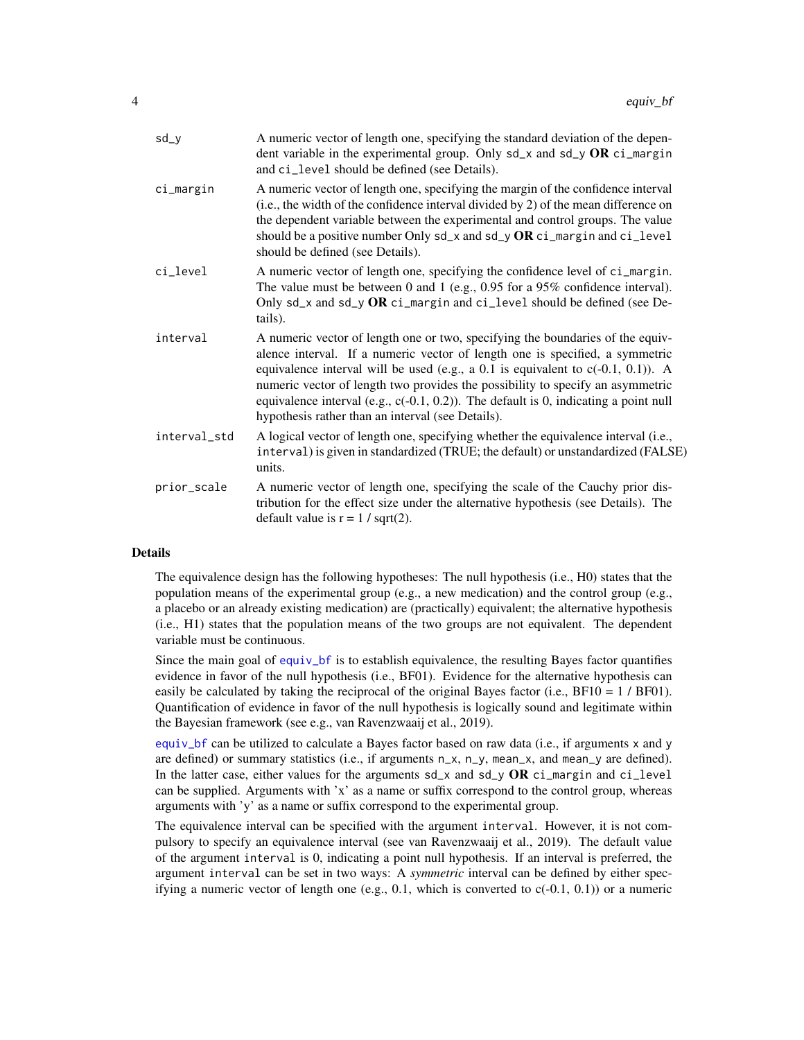<span id="page-3-0"></span>

| $sd_y$       | A numeric vector of length one, specifying the standard deviation of the depen-<br>dent variable in the experimental group. Only $sd_x$ and $sd_y$ OR $ci_m$ argin<br>and ci_level should be defined (see Details).                                                                                                                                                                                                                                                                     |
|--------------|-----------------------------------------------------------------------------------------------------------------------------------------------------------------------------------------------------------------------------------------------------------------------------------------------------------------------------------------------------------------------------------------------------------------------------------------------------------------------------------------|
| ci_margin    | A numeric vector of length one, specifying the margin of the confidence interval<br>(i.e., the width of the confidence interval divided by 2) of the mean difference on<br>the dependent variable between the experimental and control groups. The value<br>should be a positive number Only $sd_x$ and $sd_y$ OR $ci_m$ and $ci_{level}$<br>should be defined (see Details).                                                                                                           |
| ci_level     | A numeric vector of length one, specifying the confidence level of ci_margin.<br>The value must be between 0 and 1 (e.g., $0.95$ for a 95% confidence interval).<br>Only sd_x and sd_y OR ci_margin and ci_level should be defined (see De-<br>tails).                                                                                                                                                                                                                                  |
| interval     | A numeric vector of length one or two, specifying the boundaries of the equiv-<br>alence interval. If a numeric vector of length one is specified, a symmetric<br>equivalence interval will be used (e.g., a 0.1 is equivalent to $c(-0.1, 0.1)$ ). A<br>numeric vector of length two provides the possibility to specify an asymmetric<br>equivalence interval (e.g., $c(-0.1, 0.2)$ ). The default is 0, indicating a point null<br>hypothesis rather than an interval (see Details). |
| interval_std | A logical vector of length one, specifying whether the equivalence interval (i.e.,<br>interval) is given in standardized (TRUE; the default) or unstandardized (FALSE)<br>units.                                                                                                                                                                                                                                                                                                        |
| prior_scale  | A numeric vector of length one, specifying the scale of the Cauchy prior dis-<br>tribution for the effect size under the alternative hypothesis (see Details). The<br>default value is $r = 1 / sqrt(2)$ .                                                                                                                                                                                                                                                                              |

#### **Details**

The equivalence design has the following hypotheses: The null hypothesis (i.e., H0) states that the population means of the experimental group (e.g., a new medication) and the control group (e.g., a placebo or an already existing medication) are (practically) equivalent; the alternative hypothesis (i.e., H1) states that the population means of the two groups are not equivalent. The dependent variable must be continuous.

Since the main goal of [equiv\\_bf](#page-2-1) is to establish equivalence, the resulting Bayes factor quantifies evidence in favor of the null hypothesis (i.e., BF01). Evidence for the alternative hypothesis can easily be calculated by taking the reciprocal of the original Bayes factor (i.e., BF10 = 1 / BF01). Quantification of evidence in favor of the null hypothesis is logically sound and legitimate within the Bayesian framework (see e.g., van Ravenzwaaij et al., 2019).

[equiv\\_bf](#page-2-1) can be utilized to calculate a Bayes factor based on raw data (i.e., if arguments x and y are defined) or summary statistics (i.e., if arguments n\_x, n\_y, mean\_x, and mean\_y are defined). In the latter case, either values for the arguments  $sd_{x}$  and  $sd_{y}$  OR ci\_margin and ci\_level can be supplied. Arguments with 'x' as a name or suffix correspond to the control group, whereas arguments with 'y' as a name or suffix correspond to the experimental group.

The equivalence interval can be specified with the argument interval. However, it is not compulsory to specify an equivalence interval (see van Ravenzwaaij et al., 2019). The default value of the argument interval is 0, indicating a point null hypothesis. If an interval is preferred, the argument interval can be set in two ways: A *symmetric* interval can be defined by either specifying a numeric vector of length one (e.g., 0.1, which is converted to  $c(-0.1, 0.1)$ ) or a numeric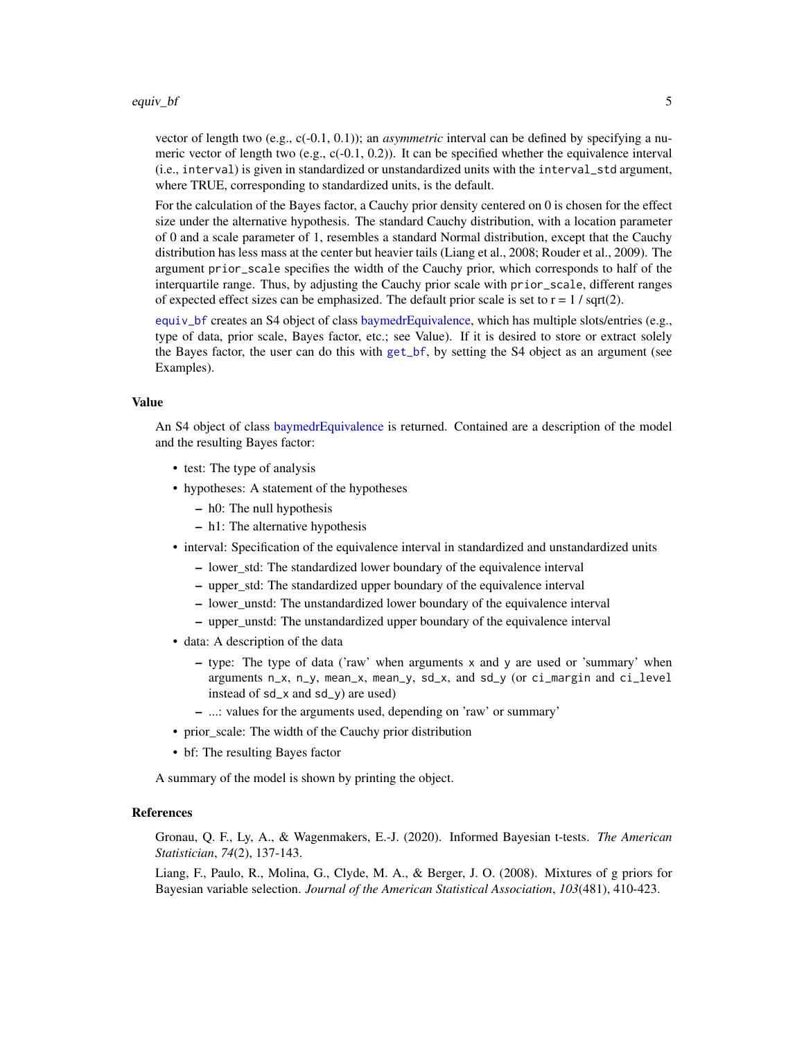#### <span id="page-4-0"></span>equiv\_bf 5

vector of length two (e.g., c(-0.1, 0.1)); an *asymmetric* interval can be defined by specifying a numeric vector of length two (e.g.,  $c(-0.1, 0.2)$ ). It can be specified whether the equivalence interval (i.e., interval) is given in standardized or unstandardized units with the interval\_std argument, where TRUE, corresponding to standardized units, is the default.

For the calculation of the Bayes factor, a Cauchy prior density centered on 0 is chosen for the effect size under the alternative hypothesis. The standard Cauchy distribution, with a location parameter of 0 and a scale parameter of 1, resembles a standard Normal distribution, except that the Cauchy distribution has less mass at the center but heavier tails (Liang et al., 2008; Rouder et al., 2009). The argument prior\_scale specifies the width of the Cauchy prior, which corresponds to half of the interquartile range. Thus, by adjusting the Cauchy prior scale with prior\_scale, different ranges of expected effect sizes can be emphasized. The default prior scale is set to  $r = 1 / \sqrt{\sqrt{3}}$ .

[equiv\\_bf](#page-2-1) creates an S4 object of class [baymedrEquivalence,](#page-11-1) which has multiple slots/entries (e.g., type of data, prior scale, Bayes factor, etc.; see Value). If it is desired to store or extract solely the Bayes factor, the user can do this with [get\\_bf](#page-6-1), by setting the S4 object as an argument (see Examples).

#### Value

An S4 object of class [baymedrEquivalence](#page-11-1) is returned. Contained are a description of the model and the resulting Bayes factor:

- test: The type of analysis
- hypotheses: A statement of the hypotheses
	- h0: The null hypothesis
	- h1: The alternative hypothesis
- interval: Specification of the equivalence interval in standardized and unstandardized units
	- lower\_std: The standardized lower boundary of the equivalence interval
	- upper\_std: The standardized upper boundary of the equivalence interval
	- lower\_unstd: The unstandardized lower boundary of the equivalence interval
	- upper\_unstd: The unstandardized upper boundary of the equivalence interval
- data: A description of the data
	- type: The type of data ('raw' when arguments x and y are used or 'summary' when arguments n\_x, n\_y, mean\_x, mean\_y, sd\_x, and sd\_y (or ci\_margin and ci\_level instead of sd\_x and sd\_y) are used)
	- ...: values for the arguments used, depending on 'raw' or summary'
- prior\_scale: The width of the Cauchy prior distribution
- bf: The resulting Bayes factor

A summary of the model is shown by printing the object.

#### **References**

Gronau, Q. F., Ly, A., & Wagenmakers, E.-J. (2020). Informed Bayesian t-tests. *The American Statistician*, *74*(2), 137-143.

Liang, F., Paulo, R., Molina, G., Clyde, M. A., & Berger, J. O. (2008). Mixtures of g priors for Bayesian variable selection. *Journal of the American Statistical Association*, *103*(481), 410-423.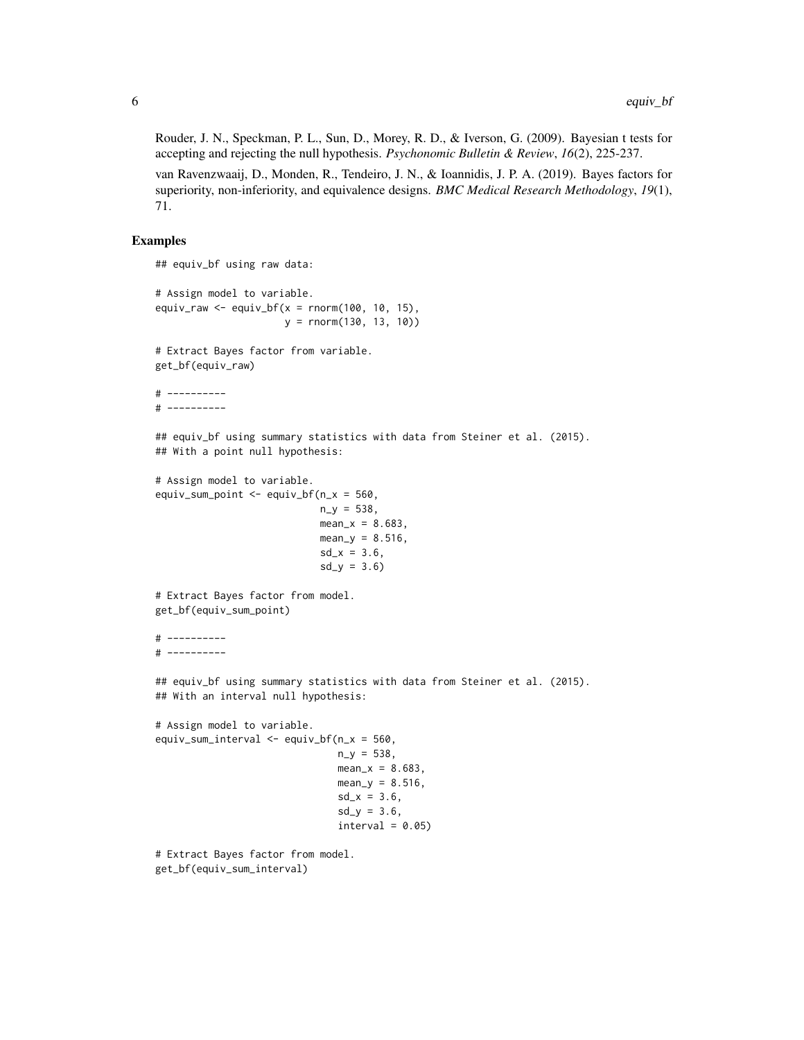Rouder, J. N., Speckman, P. L., Sun, D., Morey, R. D., & Iverson, G. (2009). Bayesian t tests for accepting and rejecting the null hypothesis. *Psychonomic Bulletin & Review*, *16*(2), 225-237.

van Ravenzwaaij, D., Monden, R., Tendeiro, J. N., & Ioannidis, J. P. A. (2019). Bayes factors for superiority, non-inferiority, and equivalence designs. *BMC Medical Research Methodology*, *19*(1), 71.

#### Examples

```
## equiv_bf using raw data:
# Assign model to variable.
equiv_raw \leq equiv_bf(x = rnorm(100, 10, 15),
                      y = rnorm(130, 13, 10))
# Extract Bayes factor from variable.
get_bf(equiv_raw)
# ----------
# ----------
## equiv_bf using summary statistics with data from Steiner et al. (2015).
## With a point null hypothesis:
# Assign model to variable.
equiv_sum_point \leq equiv_bf(n_x = 560,
                            n_y = 538,
                            mean_x = 8.683,
                            mean_y = 8.516,
                            sd_x = 3.6,
                            sd_y = 3.6# Extract Bayes factor from model.
get_bf(equiv_sum_point)
# ----------
# ----------
## equiv_bf using summary statistics with data from Steiner et al. (2015).
## With an interval null hypothesis:
# Assign model to variable.
equiv_sum_interval <- equiv_bf(n_x = 560,
                               n_y = 538,
                               mean_x = 8.683,
                               mean_y = 8.516,
                               sd_x = 3.6,
                               sd_y = 3.6,
                               interval = 0.05# Extract Bayes factor from model.
```
get\_bf(equiv\_sum\_interval)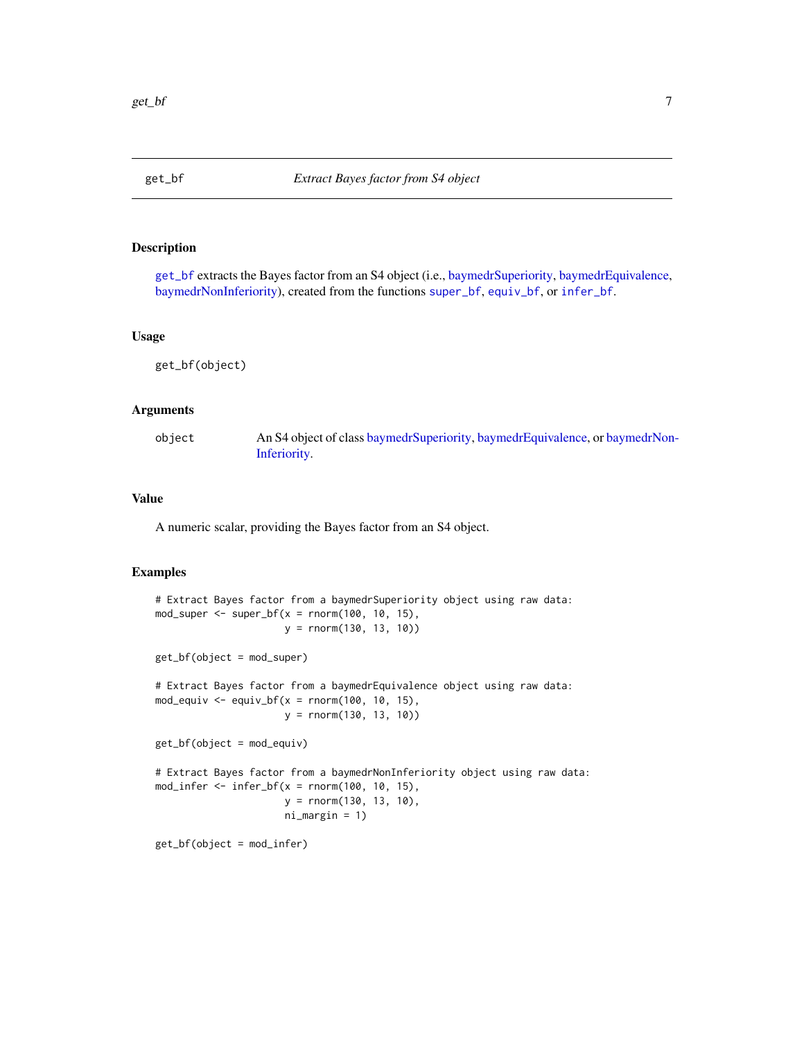<span id="page-6-1"></span><span id="page-6-0"></span>

#### Description

[get\\_bf](#page-6-1) extracts the Bayes factor from an S4 object (i.e., [baymedrSuperiority,](#page-11-1) [baymedrEquivalence,](#page-11-1) [baymedrNonInferiority\)](#page-11-1), created from the functions [super\\_bf](#page-12-1), [equiv\\_bf](#page-2-1), or [infer\\_bf](#page-7-1).

#### Usage

get\_bf(object)

#### Arguments

object An S4 object of class [baymedrSuperiority,](#page-11-1) [baymedrEquivalence,](#page-11-1) or [baymedrNon](#page-11-1)-[Inferiority.](#page-11-1)

#### Value

A numeric scalar, providing the Bayes factor from an S4 object.

#### Examples

```
# Extract Bayes factor from a baymedrSuperiority object using raw data:
mod_super <- super_bf(x = \text{norm}(100, 10, 15),
                      y = rnorm(130, 13, 10))
get_bf(object = mod_super)
# Extract Bayes factor from a baymedrEquivalence object using raw data:
mod_equiv <- equiv_bf(x = \text{norm}(100, 10, 15),
                      y = rnorm(130, 13, 10))
get_bf(object = mod_equiv)
# Extract Bayes factor from a baymedrNonInferiority object using raw data:
mod_infer \le infer_bf(x = rnorm(100, 10, 15),
                      y = rnorm(130, 13, 10),
                      ni_margin = 1)
get_bf(object = mod_infer)
```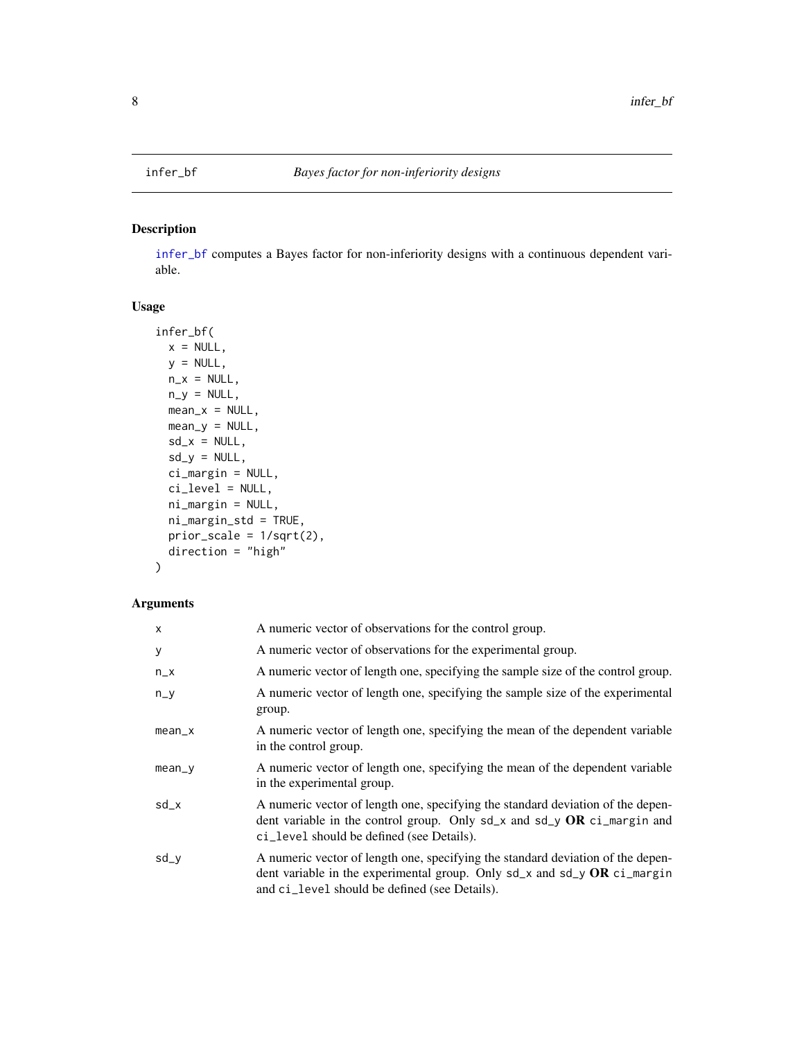<span id="page-7-1"></span><span id="page-7-0"></span>

#### Description

[infer\\_bf](#page-7-1) computes a Bayes factor for non-inferiority designs with a continuous dependent variable.

#### Usage

```
infer_bf(
 x = NULL,y = NULL,n_x = NULL,
 n_y = NULL,mean_x = NULL,mean_y = NULL,sd_x = NULL,sd_y = NULL,ci_margin = NULL,
 ci_level = NULL,
 ni_margin = NULL,
 ni_margin_std = TRUE,
 prior\_scale = 1/sqrt(2),
 direction = "high"
\mathcal{E}
```
#### Arguments

| X        | A numeric vector of observations for the control group.                                                                                                                                                             |
|----------|---------------------------------------------------------------------------------------------------------------------------------------------------------------------------------------------------------------------|
| У        | A numeric vector of observations for the experimental group.                                                                                                                                                        |
| $n_x$    | A numeric vector of length one, specifying the sample size of the control group.                                                                                                                                    |
| $n_y$    | A numeric vector of length one, specifying the sample size of the experimental<br>group.                                                                                                                            |
| $mean_x$ | A numeric vector of length one, specifying the mean of the dependent variable<br>in the control group.                                                                                                              |
| $mean_y$ | A numeric vector of length one, specifying the mean of the dependent variable<br>in the experimental group.                                                                                                         |
| $sd_x$   | A numeric vector of length one, specifying the standard deviation of the depen-<br>dent variable in the control group. Only $sd_x$ and $sd_y$ OR ci_margin and<br>ci_level should be defined (see Details).         |
| sd_y     | A numeric vector of length one, specifying the standard deviation of the depen-<br>dent variable in the experimental group. Only $sd_x$ and $sd_y$ OR $ci_m$ argin<br>and ci_level should be defined (see Details). |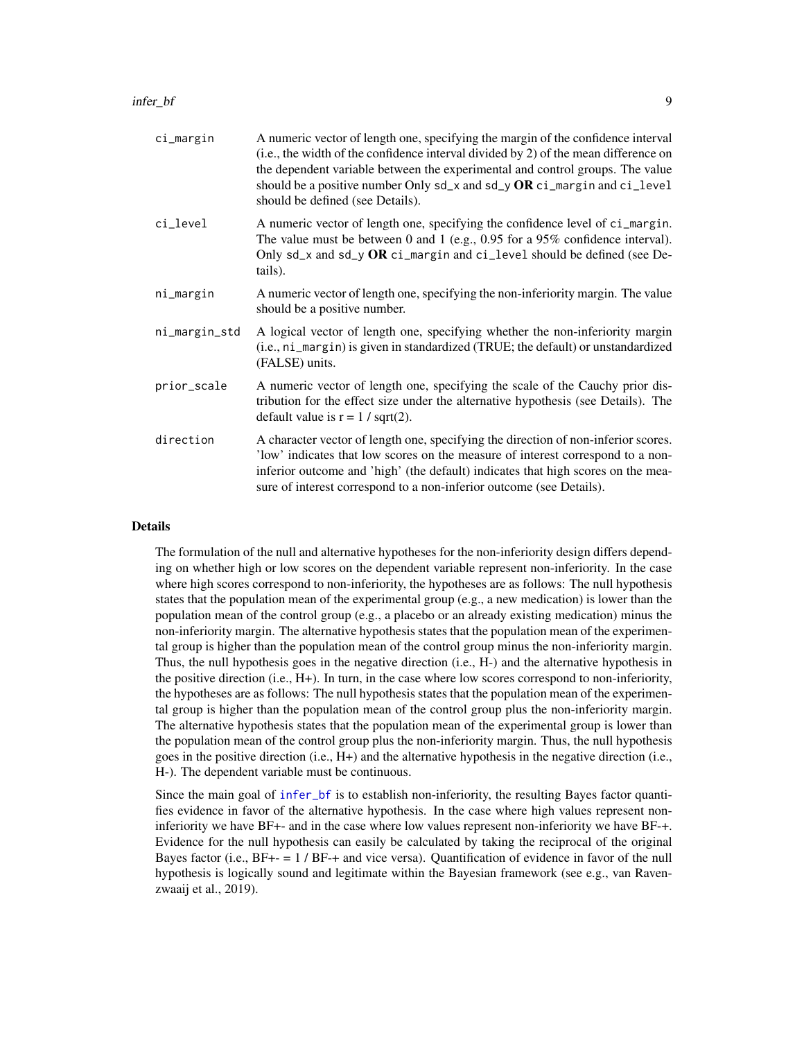<span id="page-8-0"></span>

| ci_margin     | A numeric vector of length one, specifying the margin of the confidence interval<br>(i.e., the width of the confidence interval divided by 2) of the mean difference on<br>the dependent variable between the experimental and control groups. The value<br>should be a positive number Only sd_x and sd_y OR ci_margin and ci_level<br>should be defined (see Details). |
|---------------|--------------------------------------------------------------------------------------------------------------------------------------------------------------------------------------------------------------------------------------------------------------------------------------------------------------------------------------------------------------------------|
| ci_level      | A numeric vector of length one, specifying the confidence level of ci_margin.<br>The value must be between 0 and 1 (e.g., $0.95$ for a 95% confidence interval).<br>Only sd_x and sd_y OR ci_margin and ci_level should be defined (see De-<br>tails).                                                                                                                   |
| ni_margin     | A numeric vector of length one, specifying the non-inferiority margin. The value<br>should be a positive number.                                                                                                                                                                                                                                                         |
| ni_margin_std | A logical vector of length one, specifying whether the non-inferiority margin<br>(i.e., ni_margin) is given in standardized (TRUE; the default) or unstandardized<br>(FALSE) units.                                                                                                                                                                                      |
| prior_scale   | A numeric vector of length one, specifying the scale of the Cauchy prior dis-<br>tribution for the effect size under the alternative hypothesis (see Details). The<br>default value is $r = 1 / sqrt(2)$ .                                                                                                                                                               |
| direction     | A character vector of length one, specifying the direction of non-inferior scores.<br>'low' indicates that low scores on the measure of interest correspond to a non-<br>inferior outcome and 'high' (the default) indicates that high scores on the mea-<br>sure of interest correspond to a non-inferior outcome (see Details).                                        |

#### Details

The formulation of the null and alternative hypotheses for the non-inferiority design differs depending on whether high or low scores on the dependent variable represent non-inferiority. In the case where high scores correspond to non-inferiority, the hypotheses are as follows: The null hypothesis states that the population mean of the experimental group (e.g., a new medication) is lower than the population mean of the control group (e.g., a placebo or an already existing medication) minus the non-inferiority margin. The alternative hypothesis states that the population mean of the experimental group is higher than the population mean of the control group minus the non-inferiority margin. Thus, the null hypothesis goes in the negative direction (i.e., H-) and the alternative hypothesis in the positive direction (i.e., H+). In turn, in the case where low scores correspond to non-inferiority, the hypotheses are as follows: The null hypothesis states that the population mean of the experimental group is higher than the population mean of the control group plus the non-inferiority margin. The alternative hypothesis states that the population mean of the experimental group is lower than the population mean of the control group plus the non-inferiority margin. Thus, the null hypothesis goes in the positive direction (i.e., H+) and the alternative hypothesis in the negative direction (i.e., H-). The dependent variable must be continuous.

Since the main goal of [infer\\_bf](#page-7-1) is to establish non-inferiority, the resulting Bayes factor quantifies evidence in favor of the alternative hypothesis. In the case where high values represent noninferiority we have BF+- and in the case where low values represent non-inferiority we have BF-+. Evidence for the null hypothesis can easily be calculated by taking the reciprocal of the original Bayes factor (i.e., BF+- = 1 / BF-+ and vice versa). Quantification of evidence in favor of the null hypothesis is logically sound and legitimate within the Bayesian framework (see e.g., van Ravenzwaaij et al., 2019).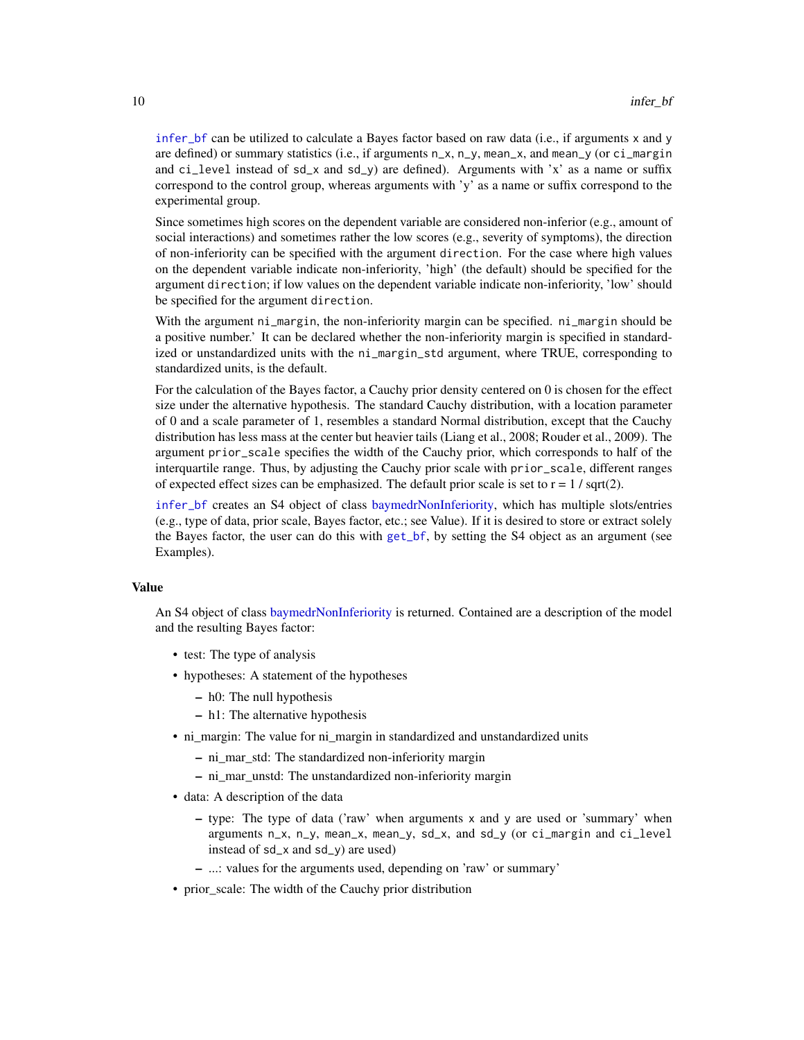<span id="page-9-0"></span>[infer\\_bf](#page-7-1) can be utilized to calculate a Bayes factor based on raw data (i.e., if arguments x and y are defined) or summary statistics (i.e., if arguments  $n_x$ ,  $n_y$ , mean<sub>-x</sub>, and mean<sub>-y</sub> (or ci<sub>-</sub>margin and ci\_level instead of  $sd_x$  and  $sd_y$ ) are defined). Arguments with 'x' as a name or suffix correspond to the control group, whereas arguments with 'y' as a name or suffix correspond to the experimental group.

Since sometimes high scores on the dependent variable are considered non-inferior (e.g., amount of social interactions) and sometimes rather the low scores (e.g., severity of symptoms), the direction of non-inferiority can be specified with the argument direction. For the case where high values on the dependent variable indicate non-inferiority, 'high' (the default) should be specified for the argument direction; if low values on the dependent variable indicate non-inferiority, 'low' should be specified for the argument direction.

With the argument ni\_margin, the non-inferiority margin can be specified. ni\_margin should be a positive number.' It can be declared whether the non-inferiority margin is specified in standardized or unstandardized units with the ni\_margin\_std argument, where TRUE, corresponding to standardized units, is the default.

For the calculation of the Bayes factor, a Cauchy prior density centered on 0 is chosen for the effect size under the alternative hypothesis. The standard Cauchy distribution, with a location parameter of 0 and a scale parameter of 1, resembles a standard Normal distribution, except that the Cauchy distribution has less mass at the center but heavier tails (Liang et al., 2008; Rouder et al., 2009). The argument prior\_scale specifies the width of the Cauchy prior, which corresponds to half of the interquartile range. Thus, by adjusting the Cauchy prior scale with prior\_scale, different ranges of expected effect sizes can be emphasized. The default prior scale is set to  $r = 1 / \sqrt{2}$ .

[infer\\_bf](#page-7-1) creates an S4 object of class [baymedrNonInferiority,](#page-11-1) which has multiple slots/entries (e.g., type of data, prior scale, Bayes factor, etc.; see Value). If it is desired to store or extract solely the Bayes factor, the user can do this with [get\\_bf](#page-6-1), by setting the S4 object as an argument (see Examples).

#### Value

An S4 object of class [baymedrNonInferiority](#page-11-1) is returned. Contained are a description of the model and the resulting Bayes factor:

- test: The type of analysis
- hypotheses: A statement of the hypotheses
	- h0: The null hypothesis
	- h1: The alternative hypothesis
- ni\_margin: The value for ni\_margin in standardized and unstandardized units
	- ni\_mar\_std: The standardized non-inferiority margin
	- ni\_mar\_unstd: The unstandardized non-inferiority margin
- data: A description of the data
	- $-$  type: The type of data ('raw' when arguments x and y are used or 'summary' when arguments n\_x, n\_y, mean\_x, mean\_y, sd\_x, and sd\_y (or ci\_margin and ci\_level instead of sd\_x and sd\_y) are used)
	- ...: values for the arguments used, depending on 'raw' or summary'
- prior\_scale: The width of the Cauchy prior distribution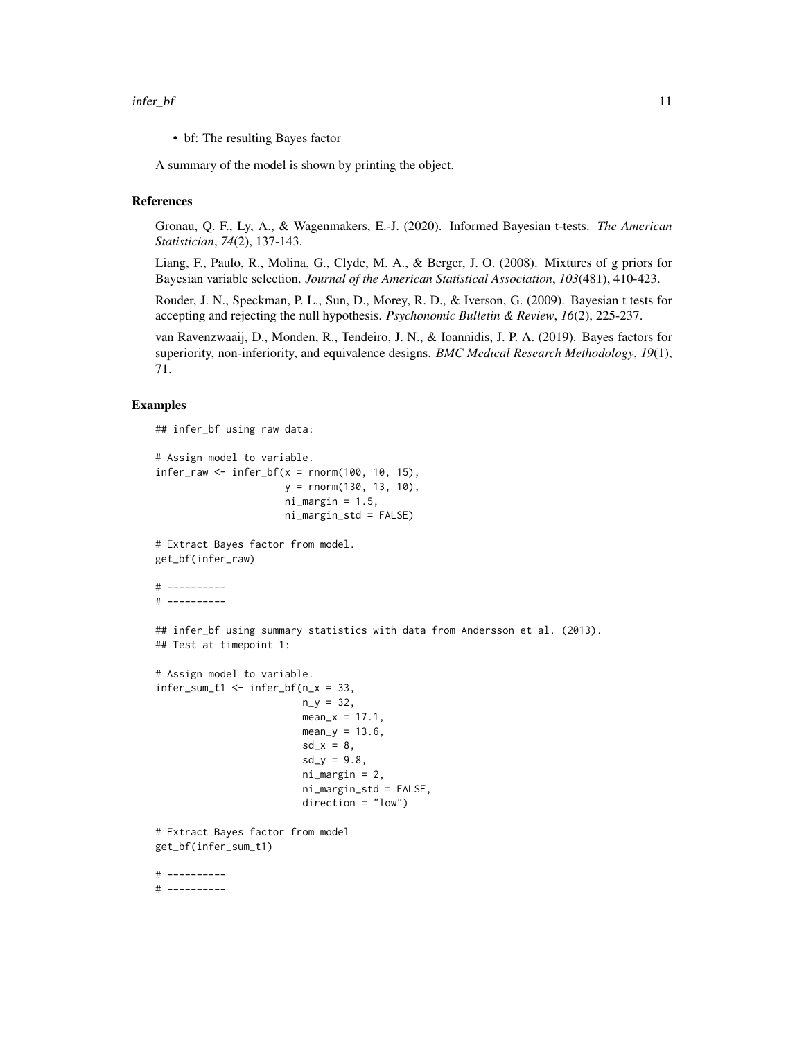• bf: The resulting Bayes factor

A summary of the model is shown by printing the object.

#### References

Gronau, Q. F., Ly, A., & Wagenmakers, E.-J. (2020). Informed Bayesian t-tests. *The American Statistician*, *74*(2), 137-143.

Liang, F., Paulo, R., Molina, G., Clyde, M. A., & Berger, J. O. (2008). Mixtures of g priors for Bayesian variable selection. *Journal of the American Statistical Association*, *103*(481), 410-423.

Rouder, J. N., Speckman, P. L., Sun, D., Morey, R. D., & Iverson, G. (2009). Bayesian t tests for accepting and rejecting the null hypothesis. *Psychonomic Bulletin & Review*, *16*(2), 225-237.

van Ravenzwaaij, D., Monden, R., Tendeiro, J. N., & Ioannidis, J. P. A. (2019). Bayes factors for superiority, non-inferiority, and equivalence designs. *BMC Medical Research Methodology*, *19*(1), 71.

#### Examples

## infer\_bf using raw data:

```
# Assign model to variable.
infer_{raw} < - infer_{bf}(x = rnorm(100, 10, 15)),
                      y = rnorm(130, 13, 10),
                      ni\_margin = 1.5,
                      ni_margin_std = FALSE)
```
# Extract Bayes factor from model. get\_bf(infer\_raw)

```
# ----------
# ----------
```
## infer\_bf using summary statistics with data from Andersson et al. (2013). ## Test at timepoint 1:

```
# Assign model to variable.
infer\_sum_t1 \leq inter_bf(n_x = 33,n_y = 32,
                         mean_x = 17.1,
                         mean_y = 13.6,
                         sd_x = 8,
                         sd_y = 9.8,
                         ni_margin = 2,
                         ni_margin_std = FALSE,
                         direction = "low")
# Extract Bayes factor from model
get_bf(infer_sum_t1)
# ----------
# ----------
```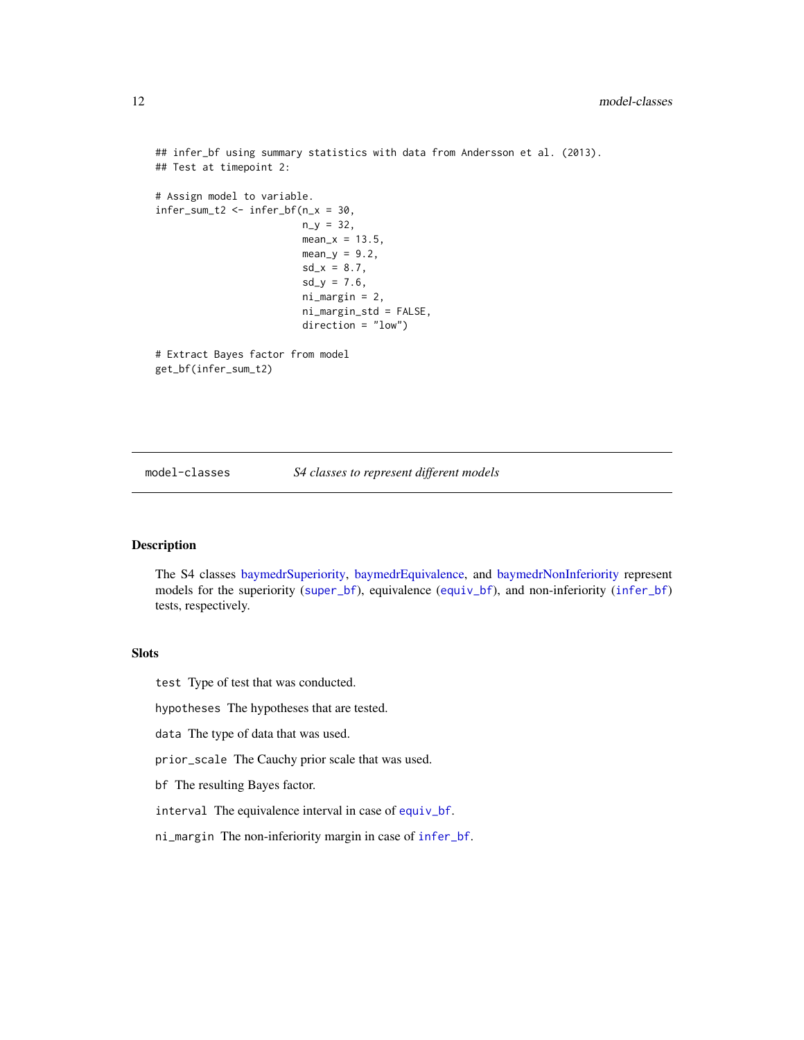```
## infer_bf using summary statistics with data from Andersson et al. (2013).
## Test at timepoint 2:
# Assign model to variable.
infer\_sum_t2 \leftarrow infer_bf(n_x = 30,n_y = 32,
                         mean_x = 13.5,
                         mean_y = 9.2,
                         sd_x = 8.7,
                         sd_y = 7.6,
                         ni_margin = 2,
                         ni_margin_std = FALSE,
                         direction = "low")
# Extract Bayes factor from model
get_bf(infer_sum_t2)
```
model-classes *S4 classes to represent different models*

#### <span id="page-11-1"></span>Description

The S4 classes [baymedrSuperiority,](#page-11-1) [baymedrEquivalence,](#page-11-1) and [baymedrNonInferiority](#page-11-1) represent models for the superiority ([super\\_bf](#page-12-1)), equivalence ([equiv\\_bf](#page-2-1)), and non-inferiority ([infer\\_bf](#page-7-1)) tests, respectively.

#### Slots

test Type of test that was conducted.

hypotheses The hypotheses that are tested.

data The type of data that was used.

prior\_scale The Cauchy prior scale that was used.

bf The resulting Bayes factor.

interval The equivalence interval in case of [equiv\\_bf](#page-2-1).

ni\_margin The non-inferiority margin in case of [infer\\_bf](#page-7-1).

<span id="page-11-0"></span>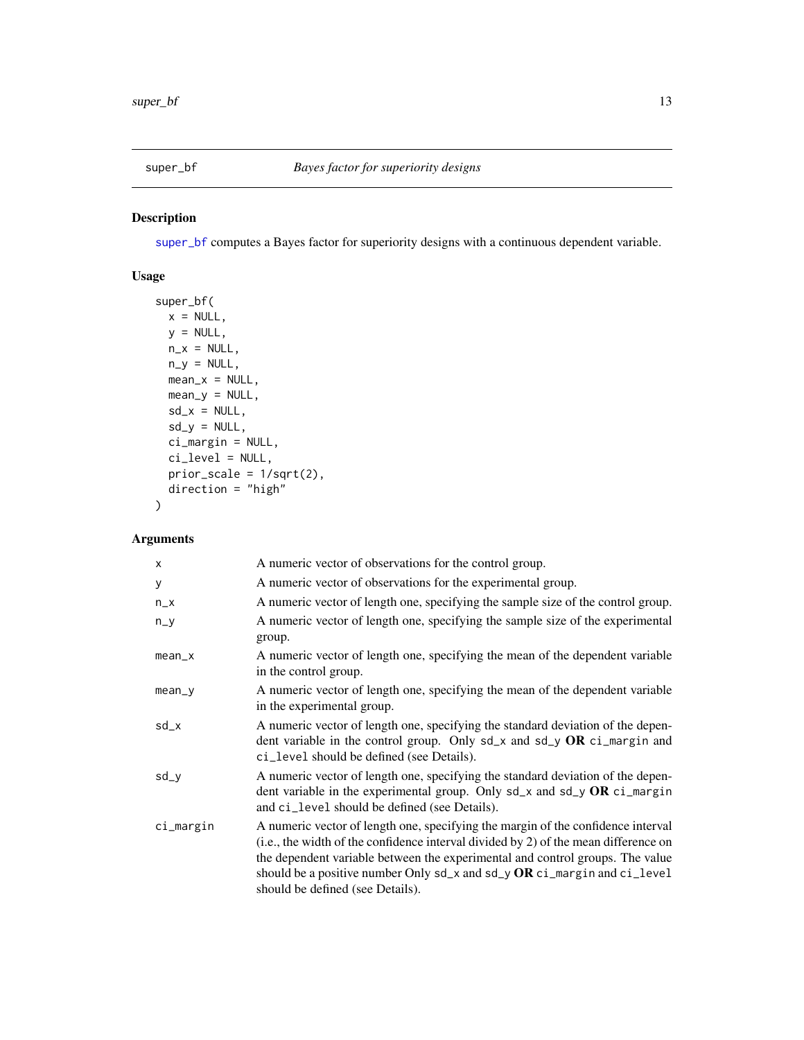<span id="page-12-1"></span><span id="page-12-0"></span>

#### Description

[super\\_bf](#page-12-1) computes a Bayes factor for superiority designs with a continuous dependent variable.

#### Usage

```
super_bf(
 x = NULL,y = NULL,n_x = NULL,
 n_y = NULL,mean_x = NULL,mean_y = NULL,sd_x = NULL,sd_y = NULL,ci_margin = NULL,
 ci_level = NULL,
 prior_scale = 1/sqrt(2),
 direction = "high"
\mathcal{E}
```
#### Arguments

| x         | A numeric vector of observations for the control group.                                                                                                                                                                                                                                                                                                                       |
|-----------|-------------------------------------------------------------------------------------------------------------------------------------------------------------------------------------------------------------------------------------------------------------------------------------------------------------------------------------------------------------------------------|
| У         | A numeric vector of observations for the experimental group.                                                                                                                                                                                                                                                                                                                  |
| $n_x$     | A numeric vector of length one, specifying the sample size of the control group.                                                                                                                                                                                                                                                                                              |
| $n_y$     | A numeric vector of length one, specifying the sample size of the experimental<br>group.                                                                                                                                                                                                                                                                                      |
| $mean_x$  | A numeric vector of length one, specifying the mean of the dependent variable<br>in the control group.                                                                                                                                                                                                                                                                        |
| $mean_y$  | A numeric vector of length one, specifying the mean of the dependent variable<br>in the experimental group.                                                                                                                                                                                                                                                                   |
| sd_x      | A numeric vector of length one, specifying the standard deviation of the depen-<br>dent variable in the control group. Only $sd_x$ and $sd_y$ OR ci_margin and<br>ci_level should be defined (see Details).                                                                                                                                                                   |
| sd_y      | A numeric vector of length one, specifying the standard deviation of the depen-<br>dent variable in the experimental group. Only $sd_x$ and $sd_y$ OR $ci_m$ argin<br>and ci_level should be defined (see Details).                                                                                                                                                           |
| ci_margin | A numeric vector of length one, specifying the margin of the confidence interval<br>(i.e., the width of the confidence interval divided by 2) of the mean difference on<br>the dependent variable between the experimental and control groups. The value<br>should be a positive number Only $sd_x$ and $sd_y$ OR $ci_m$ and $ci_{level}$<br>should be defined (see Details). |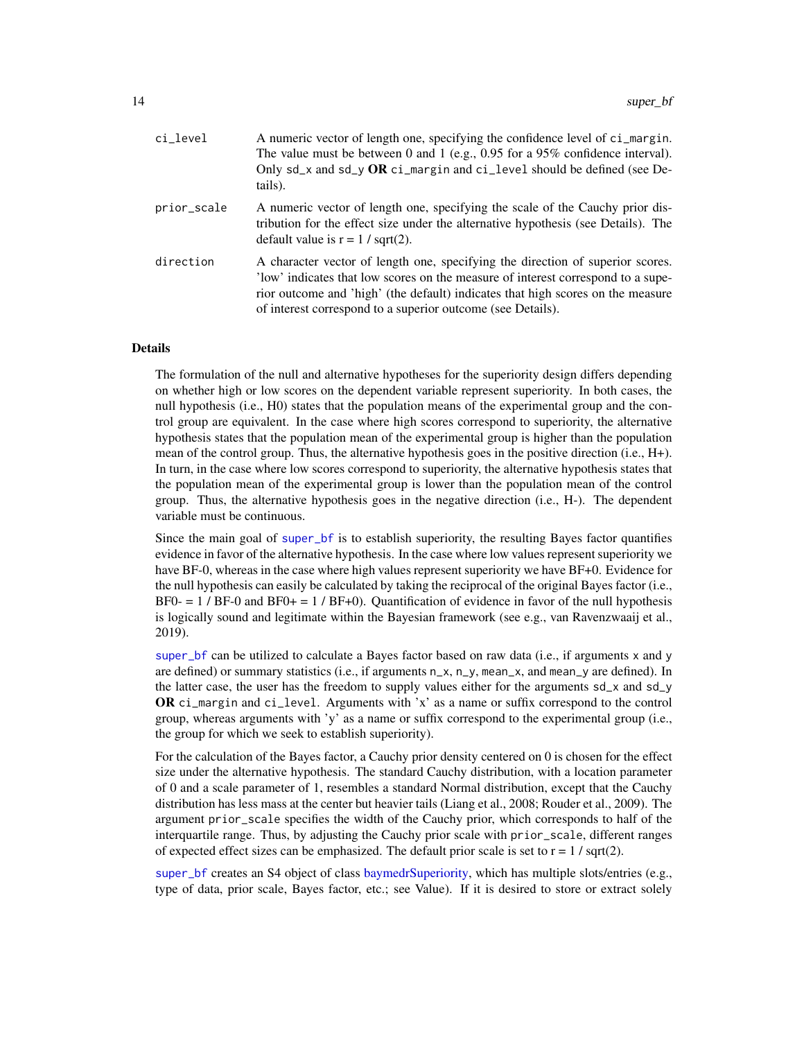<span id="page-13-0"></span>

| ci_level    | A numeric vector of length one, specifying the confidence level of ci_margin.<br>The value must be between 0 and 1 (e.g., $0.95$ for a 95% confidence interval).<br>Only $sd_x$ and $sd_y$ OR ci_margin and ci_level should be defined (see De-<br>tails).                                                           |
|-------------|----------------------------------------------------------------------------------------------------------------------------------------------------------------------------------------------------------------------------------------------------------------------------------------------------------------------|
| prior_scale | A numeric vector of length one, specifying the scale of the Cauchy prior dis-<br>tribution for the effect size under the alternative hypothesis (see Details). The<br>default value is $r = 1 / \sqrt{2}$ .                                                                                                          |
| direction   | A character vector of length one, specifying the direction of superior scores.<br>'low' indicates that low scores on the measure of interest correspond to a supe-<br>rior outcome and 'high' (the default) indicates that high scores on the measure<br>of interest correspond to a superior outcome (see Details). |

#### Details

The formulation of the null and alternative hypotheses for the superiority design differs depending on whether high or low scores on the dependent variable represent superiority. In both cases, the null hypothesis (i.e., H0) states that the population means of the experimental group and the control group are equivalent. In the case where high scores correspond to superiority, the alternative hypothesis states that the population mean of the experimental group is higher than the population mean of the control group. Thus, the alternative hypothesis goes in the positive direction (i.e., H+). In turn, in the case where low scores correspond to superiority, the alternative hypothesis states that the population mean of the experimental group is lower than the population mean of the control group. Thus, the alternative hypothesis goes in the negative direction (i.e., H-). The dependent variable must be continuous.

Since the main goal of [super\\_bf](#page-12-1) is to establish superiority, the resulting Bayes factor quantifies evidence in favor of the alternative hypothesis. In the case where low values represent superiority we have BF-0, whereas in the case where high values represent superiority we have BF+0. Evidence for the null hypothesis can easily be calculated by taking the reciprocal of the original Bayes factor (i.e.,  $BF0- = 1 / BF-0$  and  $BF0+ = 1 / BF+0$ ). Quantification of evidence in favor of the null hypothesis is logically sound and legitimate within the Bayesian framework (see e.g., van Ravenzwaaij et al., 2019).

[super\\_bf](#page-12-1) can be utilized to calculate a Bayes factor based on raw data (i.e., if arguments x and y are defined) or summary statistics (i.e., if arguments  $n_x$ ,  $n_y$ , mean\_x, and mean\_y are defined). In the latter case, the user has the freedom to supply values either for the arguments sd\_x and sd\_y OR ci\_margin and ci\_level. Arguments with 'x' as a name or suffix correspond to the control group, whereas arguments with 'y' as a name or suffix correspond to the experimental group (i.e., the group for which we seek to establish superiority).

For the calculation of the Bayes factor, a Cauchy prior density centered on 0 is chosen for the effect size under the alternative hypothesis. The standard Cauchy distribution, with a location parameter of 0 and a scale parameter of 1, resembles a standard Normal distribution, except that the Cauchy distribution has less mass at the center but heavier tails (Liang et al., 2008; Rouder et al., 2009). The argument prior\_scale specifies the width of the Cauchy prior, which corresponds to half of the interquartile range. Thus, by adjusting the Cauchy prior scale with prior\_scale, different ranges of expected effect sizes can be emphasized. The default prior scale is set to  $r = 1 / \sqrt{\sqrt{3}}$ .

[super\\_bf](#page-12-1) creates an S4 object of class [baymedrSuperiority,](#page-11-1) which has multiple slots/entries (e.g., type of data, prior scale, Bayes factor, etc.; see Value). If it is desired to store or extract solely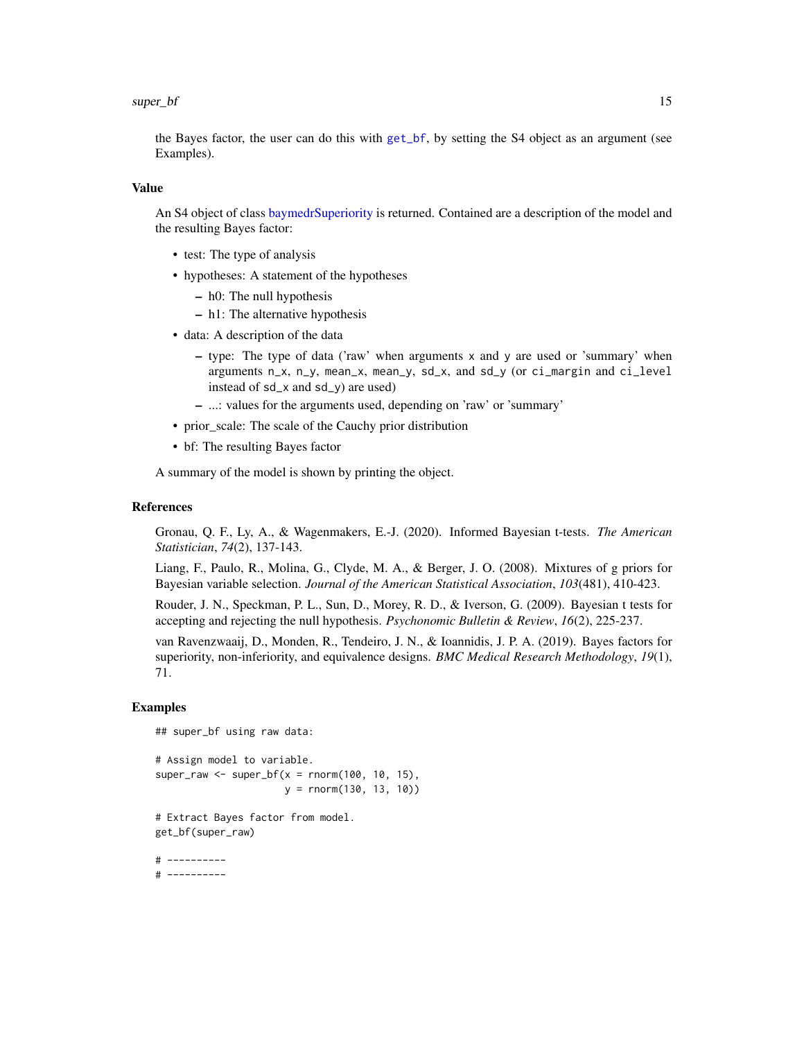#### <span id="page-14-0"></span> $super_bf$  15

the Bayes factor, the user can do this with [get\\_bf](#page-6-1), by setting the S4 object as an argument (see Examples).

#### Value

An S4 object of class [baymedrSuperiority](#page-11-1) is returned. Contained are a description of the model and the resulting Bayes factor:

- test: The type of analysis
- hypotheses: A statement of the hypotheses
	- h0: The null hypothesis
	- h1: The alternative hypothesis
- data: A description of the data
	- type: The type of data ('raw' when arguments  $x$  and  $y$  are used or 'summary' when arguments n\_x, n\_y, mean\_x, mean\_y, sd\_x, and sd\_y (or ci\_margin and ci\_level instead of sd\_x and sd\_y) are used)
	- ...: values for the arguments used, depending on 'raw' or 'summary'
- prior\_scale: The scale of the Cauchy prior distribution
- bf: The resulting Bayes factor

A summary of the model is shown by printing the object.

#### References

Gronau, Q. F., Ly, A., & Wagenmakers, E.-J. (2020). Informed Bayesian t-tests. *The American Statistician*, *74*(2), 137-143.

Liang, F., Paulo, R., Molina, G., Clyde, M. A., & Berger, J. O. (2008). Mixtures of g priors for Bayesian variable selection. *Journal of the American Statistical Association*, *103*(481), 410-423.

Rouder, J. N., Speckman, P. L., Sun, D., Morey, R. D., & Iverson, G. (2009). Bayesian t tests for accepting and rejecting the null hypothesis. *Psychonomic Bulletin & Review*, *16*(2), 225-237.

van Ravenzwaaij, D., Monden, R., Tendeiro, J. N., & Ioannidis, J. P. A. (2019). Bayes factors for superiority, non-inferiority, and equivalence designs. *BMC Medical Research Methodology*, *19*(1), 71.

#### Examples

## super\_bf using raw data:

# Assign model to variable. super\_raw <- super\_bf( $x =$  rnorm(100, 10, 15), y = rnorm(130, 13, 10))

# Extract Bayes factor from model. get\_bf(super\_raw)

# ---------- # ----------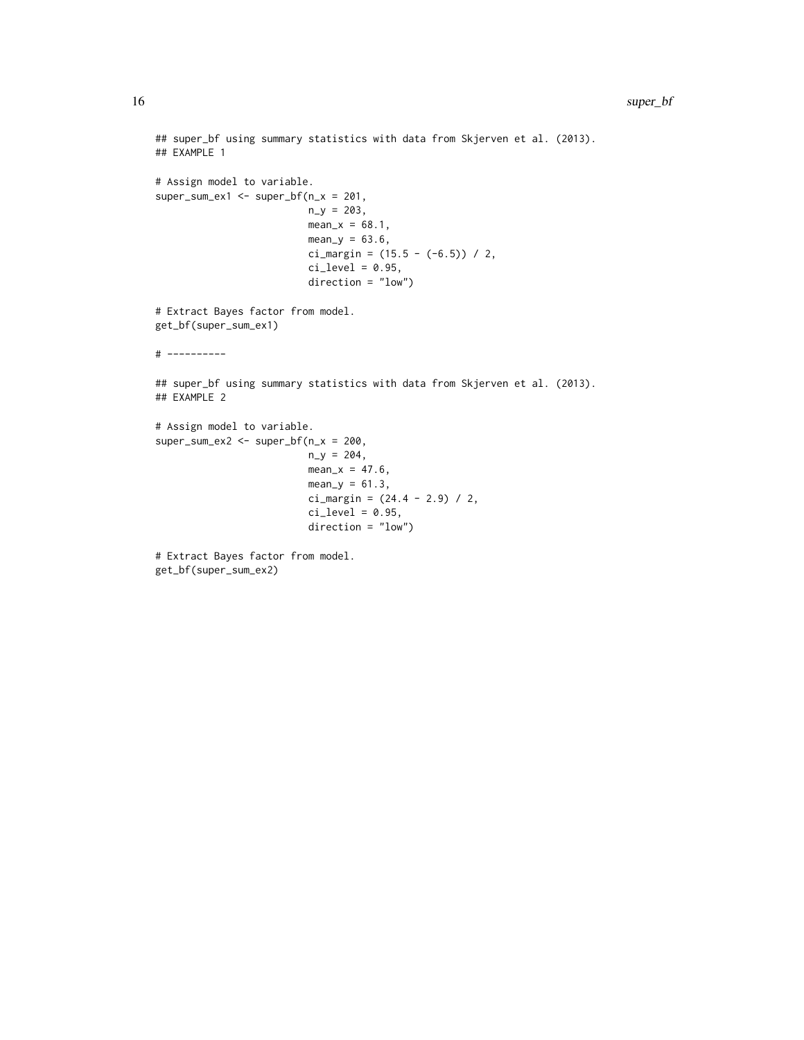```
## super_bf using summary statistics with data from Skjerven et al. (2013).
## EXAMPLE 1
# Assign model to variable.
super\_sum\_ex1 \leftarrow super_bf(n_x = 201,n_y = 203,
                          mean_x = 68.1,
                          mean_y = 63.6,
                          ci_margin = (15.5 - (-6.5)) / 2,
                          ci\_level = 0.95,
                          direction = "low")
# Extract Bayes factor from model.
get_bf(super_sum_ex1)
# ----------
## super_bf using summary statistics with data from Skjerven et al. (2013).
## EXAMPLE 2
# Assign model to variable.
super\_sum\_ex2 \leftarrow super\_bf(n_x = 200,n_y = 204,
                          mean_x = 47.6,
                          mean_y = 61.3,
                          ci_margin = (24.4 - 2.9) / 2,ci\_level = 0.95,
                          direction = "low")
# Extract Bayes factor from model.
```

```
get_bf(super_sum_ex2)
```